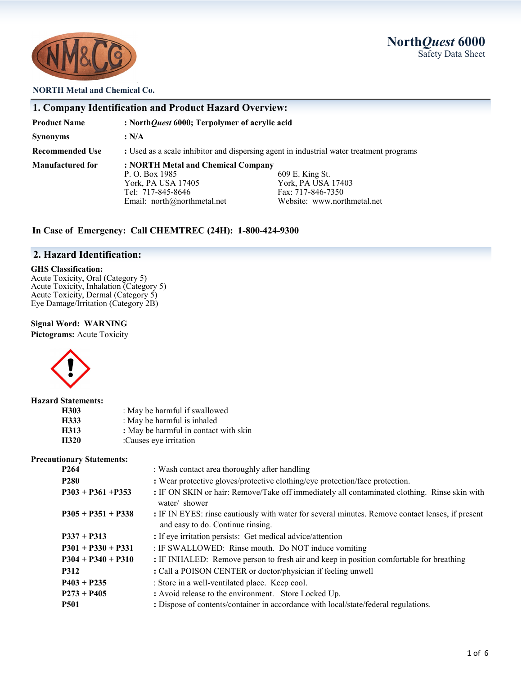**North***Quest* **6000** Safety Data Sheet



#### **NORTH Metal and Chemical Co.**

|                        | 1. Company Identification and Product Hazard Overview:                                                                                                                                                                      |  |
|------------------------|-----------------------------------------------------------------------------------------------------------------------------------------------------------------------------------------------------------------------------|--|
| <b>Product Name</b>    | : NorthQuest 6000; Terpolymer of acrylic acid                                                                                                                                                                               |  |
| <b>Synonyms</b>        | : N/A                                                                                                                                                                                                                       |  |
| <b>Recommended Use</b> | : Used as a scale inhibitor and dispersing agent in industrial water treatment programs                                                                                                                                     |  |
| Manufactured for       | : NORTH Metal and Chemical Company<br>P. O. Box 1985<br>609 E. King St.<br>York, PA USA 17403<br>York, PA USA 17405<br>Tel: 717-845-8646<br>Fax: 717-846-7350<br>Email: north@northmetal.net<br>Website: www.northmetal.net |  |

## **In Case of Emergency: Call CHEMTREC (24H): 1-800-424-9300**

## **2. Hazard Identification:**

#### **GHS Classification:**

Acute Toxicity, Oral (Category 5) Acute Toxicity, Inhalation (Category 5) Acute Toxicity, Dermal (Category 5) Eye Damage/Irritation (Category 2B)

#### **Signal Word: WARNING**

**Pictograms:** Acute Toxicity



#### **Hazard Statements:**

| H303 | : May be harmful if swallowed         |
|------|---------------------------------------|
| H333 | : May be harmful is inhaled           |
| H313 | : May be harmful in contact with skin |
| H320 | :Causes eye irritation                |

#### **Precautionary Statements:**

| P <sub>264</sub>     | : Wash contact area thoroughly after handling                                                                                         |  |
|----------------------|---------------------------------------------------------------------------------------------------------------------------------------|--|
| <b>P280</b>          | : Wear protective gloves/protective clothing/eye protection/face protection.                                                          |  |
| $P303 + P361 + P353$ | : IF ON SKIN or hair: Remove/Take off immediately all contaminated clothing. Rinse skin with<br>water/ shower                         |  |
| $P305 + P351 + P338$ | : IF IN EYES: rinse cautiously with water for several minutes. Remove contact lenses, if present<br>and easy to do. Continue rinsing. |  |
| $P337 + P313$        | : If eye irritation persists: Get medical advice/attention                                                                            |  |
| $P301 + P330 + P331$ | : IF SWALLOWED: Rinse mouth. Do NOT induce vomiting                                                                                   |  |
| $P304 + P340 + P310$ | : IF INHALED: Remove person to fresh air and keep in position comfortable for breathing                                               |  |
| <b>P312</b>          | : Call a POISON CENTER or doctor/physician if feeling unwell                                                                          |  |
| $P403 + P235$        | : Store in a well-ventilated place. Keep cool.                                                                                        |  |
| $P273 + P405$        | : Avoid release to the environment. Store Locked Up.                                                                                  |  |
| <b>P501</b>          | : Dispose of contents/container in accordance with local/state/federal regulations.                                                   |  |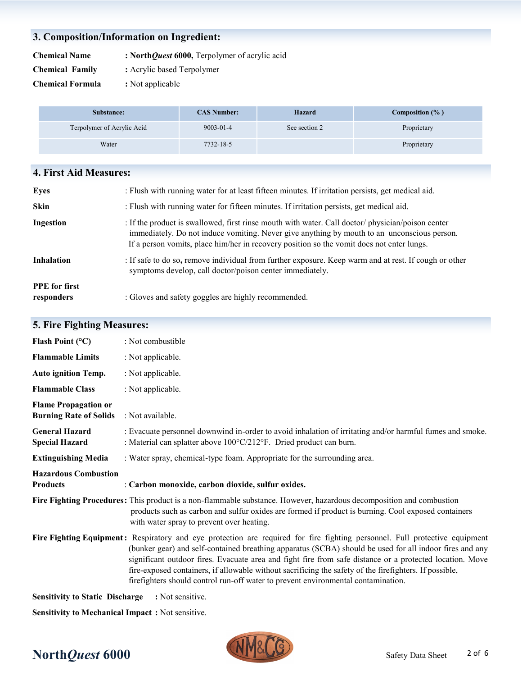# **3. Composition/Information on Ingredient:**

**Chemical Name : North***Quest* **6000,** Terpolymer of acrylic acid

- **Chemical Family :** Acrylic based Terpolymer
- **Chemical Formula :** Not applicable

| Substance:                 | <b>CAS Number:</b> | Hazard        | Composition $(\% )$ |
|----------------------------|--------------------|---------------|---------------------|
| Terpolymer of Acrylic Acid | $9003 - 01 - 4$    | See section 2 | Proprietary         |
| Water                      | 7732-18-5          |               | Proprietary         |

## **4. First Aid Measures:**

| <b>Eyes</b>                        | : Flush with running water for at least fifteen minutes. If irritation persists, get medical aid.                                                                                                                                                                                             |
|------------------------------------|-----------------------------------------------------------------------------------------------------------------------------------------------------------------------------------------------------------------------------------------------------------------------------------------------|
| <b>Skin</b>                        | : Flush with running water for fifteen minutes. If irritation persists, get medical aid.                                                                                                                                                                                                      |
| Ingestion                          | : If the product is swallowed, first rinse mouth with water. Call doctor/ physician/poison center<br>immediately. Do not induce vomiting. Never give anything by mouth to an unconscious person.<br>If a person vomits, place him/her in recovery position so the vomit does not enter lungs. |
| Inhalation                         | : If safe to do so, remove individual from further exposure. Keep warm and at rest. If cough or other<br>symptoms develop, call doctor/poison center immediately.                                                                                                                             |
| <b>PPE</b> for first<br>responders | : Gloves and safety goggles are highly recommended.                                                                                                                                                                                                                                           |

# **5. Fire Fighting Measures:**

| Flash Point $(^{\circ}C)$                                    | : Not combustible                                                                                                                                                                                                                                                                                                                                                                                                                                                                                                                                 |
|--------------------------------------------------------------|---------------------------------------------------------------------------------------------------------------------------------------------------------------------------------------------------------------------------------------------------------------------------------------------------------------------------------------------------------------------------------------------------------------------------------------------------------------------------------------------------------------------------------------------------|
| <b>Flammable Limits</b>                                      | : Not applicable.                                                                                                                                                                                                                                                                                                                                                                                                                                                                                                                                 |
| <b>Auto ignition Temp.</b>                                   | : Not applicable.                                                                                                                                                                                                                                                                                                                                                                                                                                                                                                                                 |
| <b>Flammable Class</b>                                       | : Not applicable.                                                                                                                                                                                                                                                                                                                                                                                                                                                                                                                                 |
| <b>Flame Propagation or</b><br><b>Burning Rate of Solids</b> | : Not available.                                                                                                                                                                                                                                                                                                                                                                                                                                                                                                                                  |
| <b>General Hazard</b><br><b>Special Hazard</b>               | : Evacuate personnel downwind in-order to avoid inhalation of irritating and/or harmful fumes and smoke.<br>: Material can splatter above 100°C/212°F. Dried product can burn.                                                                                                                                                                                                                                                                                                                                                                    |
| <b>Extinguishing Media</b>                                   | : Water spray, chemical-type foam. Appropriate for the surrounding area.                                                                                                                                                                                                                                                                                                                                                                                                                                                                          |
| <b>Hazardous Combustion</b><br><b>Products</b>               | : Carbon monoxide, carbon dioxide, sulfur oxides.                                                                                                                                                                                                                                                                                                                                                                                                                                                                                                 |
|                                                              | Fire Fighting Procedures: This product is a non-flammable substance. However, hazardous decomposition and combustion<br>products such as carbon and sulfur oxides are formed if product is burning. Cool exposed containers<br>with water spray to prevent over heating.                                                                                                                                                                                                                                                                          |
|                                                              | Fire Fighting Equipment: Respiratory and eye protection are required for fire fighting personnel. Full protective equipment<br>(bunker gear) and self-contained breathing apparatus (SCBA) should be used for all indoor fires and any<br>significant outdoor fires. Evacuate area and fight fire from safe distance or a protected location. Move<br>fire-exposed containers, if allowable without sacrificing the safety of the firefighters. If possible,<br>firefighters should control run-off water to prevent environmental contamination. |
| <b>Sensitivity to Static Discharge</b>                       | : Not sensitive.                                                                                                                                                                                                                                                                                                                                                                                                                                                                                                                                  |

**Sensitivity to Mechanical Impact :** Not sensitive.

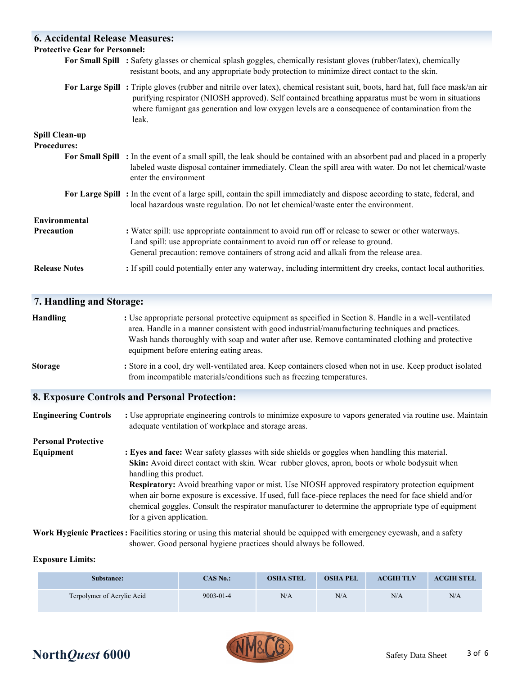| <b>6. Accidental Release Measures:</b>      |                                                                                                                                                                                                                                                                                                                                                           |
|---------------------------------------------|-----------------------------------------------------------------------------------------------------------------------------------------------------------------------------------------------------------------------------------------------------------------------------------------------------------------------------------------------------------|
| <b>Protective Gear for Personnel:</b>       |                                                                                                                                                                                                                                                                                                                                                           |
|                                             | For Small Spill : Safety glasses or chemical splash goggles, chemically resistant gloves (rubber/latex), chemically<br>resistant boots, and any appropriate body protection to minimize direct contact to the skin.                                                                                                                                       |
|                                             | For Large Spill: Triple gloves (rubber and nitrile over latex), chemical resistant suit, boots, hard hat, full face mask/an air<br>purifying respirator (NIOSH approved). Self contained breathing apparatus must be worn in situations<br>where fumigant gas generation and low oxygen levels are a consequence of contamination from the<br>leak.       |
| <b>Spill Clean-up</b><br><b>Procedures:</b> |                                                                                                                                                                                                                                                                                                                                                           |
|                                             | For Small Spill : In the event of a small spill, the leak should be contained with an absorbent pad and placed in a properly<br>labeled waste disposal container immediately. Clean the spill area with water. Do not let chemical/waste<br>enter the environment                                                                                         |
|                                             | For Large Spill: In the event of a large spill, contain the spill immediately and dispose according to state, federal, and<br>local hazardous waste regulation. Do not let chemical/waste enter the environment.                                                                                                                                          |
| <b>Environmental</b>                        |                                                                                                                                                                                                                                                                                                                                                           |
| Precaution                                  | : Water spill: use appropriate containment to avoid run off or release to sewer or other waterways.<br>Land spill: use appropriate containment to avoid run off or release to ground.<br>General precaution: remove containers of strong acid and alkali from the release area.                                                                           |
| <b>Release Notes</b>                        | : If spill could potentially enter any waterway, including intermittent dry creeks, contact local authorities.                                                                                                                                                                                                                                            |
| 7. Handling and Storage:                    |                                                                                                                                                                                                                                                                                                                                                           |
| <b>Handling</b>                             | : Use appropriate personal protective equipment as specified in Section 8. Handle in a well-ventilated<br>area. Handle in a manner consistent with good industrial/manufacturing techniques and practices.<br>Wash hands thoroughly with soap and water after use. Remove contaminated clothing and protective<br>equipment before entering eating areas. |

**Storage** : Store in a cool, dry well-ventilated area. Keep containers closed when not in use. Keep product isolated from incompatible materials/conditions such as freezing temperatures.

## **8. Exposure Controls and Personal Protection:**

**Engineering Controls** : Use appropriate engineering controls to minimize exposure to vapors generated via routine use. Maintain adequate ventilation of workplace and storage areas.

**Personal Protective** 

**Equipment : Eyes and face:** Wear safety glasses with side shields or goggles when handling this material. **Skin:** Avoid direct contact with skin. Wear rubber gloves, apron, boots or whole bodysuit when handling this product. **Respiratory:** Avoid breathing vapor or mist. Use NIOSH approved respiratory protection equipment when air borne exposure is excessive. If used, full face-piece replaces the need for face shield and/or chemical goggles. Consult the respirator manufacturer to determine the appropriate type of equipment for a given application.

**Work Hygienic Practices:** Facilities storing or using this material should be equipped with emergency eyewash, and a safety shower. Good personal hygiene practices should always be followed.

## **Exposure Limits:**

| Substance:                 | CAS No.:        | <b>OSHA STEL</b> | <b>OSHA PEL</b> | <b>ACGIH TLV</b> | <b>ACGIH STEL</b> |
|----------------------------|-----------------|------------------|-----------------|------------------|-------------------|
| Terpolymer of Acrylic Acid | $9003 - 01 - 4$ | N/A              | N/A             | N/A              | N/A               |

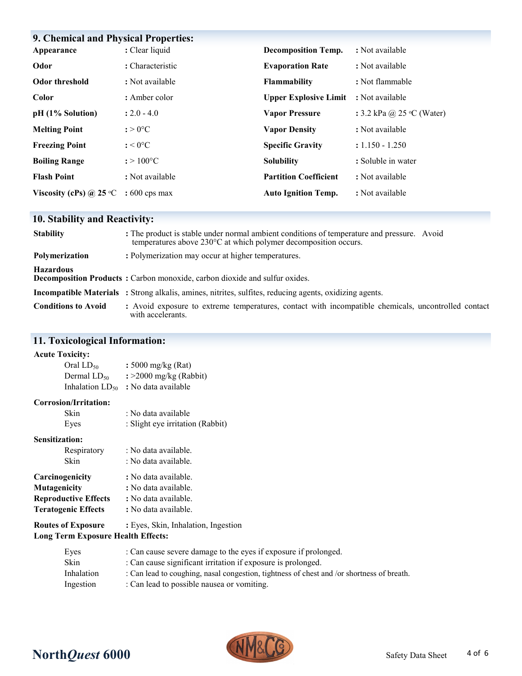| 9. Chemical and Physical Properties: |                        |                              |                                    |
|--------------------------------------|------------------------|------------------------------|------------------------------------|
| Appearance                           | : Clear liquid         | <b>Decomposition Temp.</b>   | : Not available                    |
| Odor                                 | : Characteristic       | <b>Evaporation Rate</b>      | : Not available                    |
| <b>Odor threshold</b>                | : Not available        | Flammability                 | : Not flammable                    |
| Color                                | : Amber color          | <b>Upper Explosive Limit</b> | : Not available                    |
| pH (1% Solution)                     | $: 2.0 - 4.0$          | <b>Vapor Pressure</b>        | : 3.2 kPa @ 25 $\degree$ C (Water) |
| <b>Melting Point</b>                 | $:$ > 0°C              | <b>Vapor Density</b>         | : Not available                    |
| <b>Freezing Point</b>                | $: < 0$ <sup>o</sup> C | <b>Specific Gravity</b>      | $: 1.150 - 1.250$                  |
| <b>Boiling Range</b>                 | $: > 100^{\circ}C$     | <b>Solubility</b>            | : Soluble in water                 |
| <b>Flash Point</b>                   | : Not available        | <b>Partition Coefficient</b> | : Not available                    |
| Viscosity (cPs) $\omega$ 25 °C       | $:600$ cps max         | <b>Auto Ignition Temp.</b>   | : Not available                    |

# **10. Stability and Reactivity:**

| <b>Stability</b>           | : The product is stable under normal ambient conditions of temperature and pressure. Avoid<br>temperatures above 230°C at which polymer decomposition occurs. |
|----------------------------|---------------------------------------------------------------------------------------------------------------------------------------------------------------|
| <b>Polymerization</b>      | : Polymerization may occur at higher temperatures.                                                                                                            |
| <b>Hazardous</b>           | <b>Decomposition Products:</b> Carbon monoxide, carbon dioxide and sulfur oxides.                                                                             |
|                            | <b>Incompatible Materials</b> : Strong alkalis, amines, nitrites, sulfites, reducing agents, oxidizing agents.                                                |
| <b>Conditions to Avoid</b> | : Avoid exposure to extreme temperatures, contact with incompatible chemicals, uncontrolled contact<br>with accelerants.                                      |

# **11. Toxicological Information:**

## **Acute Toxicity:**

| : 5000 mg/kg (Rat)         |
|----------------------------|
| $\div$ 2000 mg/kg (Rabbit) |
| : No data available        |
|                            |

### **Corrosion/Irritation:**

| Skin                        | : No data available              |
|-----------------------------|----------------------------------|
| Eyes                        | : Slight eye irritation (Rabbit) |
| <b>Sensitization:</b>       |                                  |
| Respiratory                 | : No data available.             |
| Skin                        | : No data available.             |
| Carcinogenicity             | : No data available.             |
| Mutagenicity                | : No data available.             |
| <b>Reproductive Effects</b> | : No data available.             |
| <b>Teratogenic Effects</b>  | : No data available.             |
|                             |                                  |

**Routes of Exposure :** Eyes, Skin, Inhalation, Ingestion

# **Long Term Exposure Health Effects:**

| Eyes       | : Can cause severe damage to the eyes if exposure if prolonged.                           |
|------------|-------------------------------------------------------------------------------------------|
| Skin       | : Can cause significant irritation if exposure is prolonged.                              |
| Inhalation | : Can lead to coughing, nasal congestion, tightness of chest and /or shortness of breath. |
| Ingestion  | : Can lead to possible nausea or vomiting.                                                |
|            |                                                                                           |



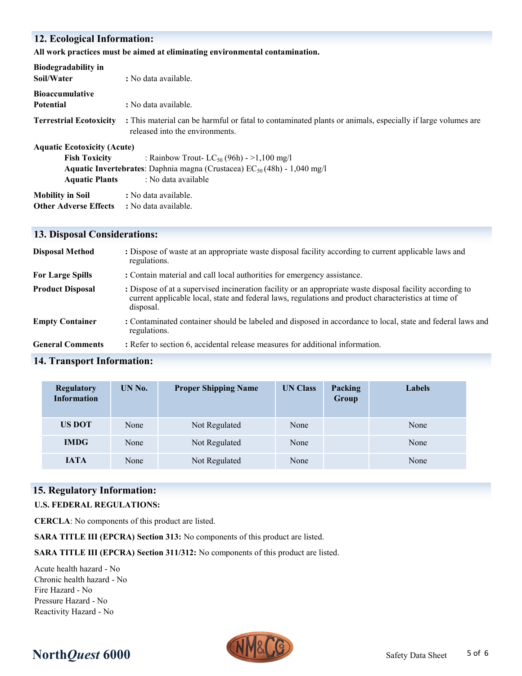## **12. Ecological Information:**

### **All work practices must be aimed at eliminating environmental contamination.**

| Biodegradability in<br>Soil/Water  | : No data available.                                                                                                                          |  |  |
|------------------------------------|-----------------------------------------------------------------------------------------------------------------------------------------------|--|--|
| <b>Bioaccumulative</b>             |                                                                                                                                               |  |  |
| <b>Potential</b>                   | : No data available.                                                                                                                          |  |  |
| <b>Terrestrial Ecotoxicity</b>     | : This material can be harmful or fatal to contaminated plants or animals, especially if large volumes are<br>released into the environments. |  |  |
| <b>Aquatic Ecotoxicity (Acute)</b> |                                                                                                                                               |  |  |
| <b>Fish Toxicity</b>               | : Rainbow Trout- $LC_{50}$ (96h) - >1,100 mg/l                                                                                                |  |  |
|                                    | <b>Aquatic Invertebrates:</b> Daphnia magna (Crustacea) $EC_{50}(48h) - 1,040$ mg/l                                                           |  |  |
| <b>Aquatic Plants</b>              | : No data available                                                                                                                           |  |  |
| <b>Mobility in Soil</b>            | : No data available.                                                                                                                          |  |  |
| <b>Other Adverse Effects</b>       | : No data available.                                                                                                                          |  |  |

## **13. Disposal Considerations:**

| <b>Disposal Method</b>  | : Dispose of waste at an appropriate waste disposal facility according to current applicable laws and<br>regulations.                                                                                                          |
|-------------------------|--------------------------------------------------------------------------------------------------------------------------------------------------------------------------------------------------------------------------------|
| <b>For Large Spills</b> | : Contain material and call local authorities for emergency assistance.                                                                                                                                                        |
| <b>Product Disposal</b> | : Dispose of at a supervised incineration facility or an appropriate waste disposal facility according to<br>current applicable local, state and federal laws, regulations and product characteristics at time of<br>disposal. |
| <b>Empty Container</b>  | : Contaminated container should be labeled and disposed in accordance to local, state and federal laws and<br>regulations.                                                                                                     |
| <b>General Comments</b> | : Refer to section 6, accidental release measures for additional information.                                                                                                                                                  |

# **14. Transport Information:**

| <b>Regulatory</b><br><b>Information</b> | UN No. | <b>Proper Shipping Name</b> | <b>UN Class</b> | Packing<br>Group | Labels |
|-----------------------------------------|--------|-----------------------------|-----------------|------------------|--------|
| <b>US DOT</b>                           | None   | Not Regulated               | None            |                  | None   |
| <b>IMDG</b>                             | None   | Not Regulated               | None            |                  | None   |
| <b>JATA</b>                             | None   | Not Regulated               | None            |                  | None   |

## **15. Regulatory Information:**

#### **U.S. FEDERAL REGULATIONS:**

**CERCLA**: No components of this product are listed.

**SARA TITLE III (EPCRA) Section 313:** No components of this product are listed.

**SARA TITLE III (EPCRA) Section 311/312:** No components of this product are listed.

Acute health hazard - No Chronic health hazard - No Fire Hazard - No Pressure Hazard - No Reactivity Hazard - No



# **North***Quest* **6000** Safety Data Sheet